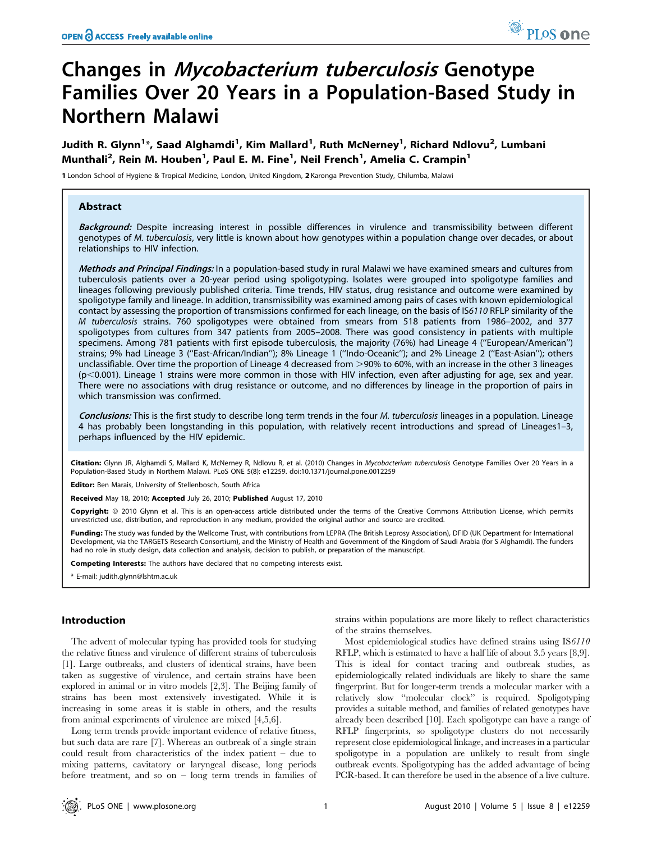# Changes in Mycobacterium tuberculosis Genotype Families Over 20 Years in a Population-Based Study in Northern Malawi

Judith R. Glynn<sup>1</sup>\*, Saad Alghamdi<sup>1</sup>, Kim Mallard<sup>1</sup>, Ruth McNerney<sup>1</sup>, Richard Ndlovu<sup>2</sup>, Lumbani Munthali<sup>2</sup>, Rein M. Houben<sup>1</sup>, Paul E. M. Fine<sup>1</sup>, Neil French<sup>1</sup>, Amelia C. Crampin<sup>1</sup>

1 London School of Hygiene & Tropical Medicine, London, United Kingdom, 2 Karonga Prevention Study, Chilumba, Malawi

## Abstract

Background: Despite increasing interest in possible differences in virulence and transmissibility between different genotypes of M. tuberculosis, very little is known about how genotypes within a population change over decades, or about relationships to HIV infection.

Methods and Principal Findings: In a population-based study in rural Malawi we have examined smears and cultures from tuberculosis patients over a 20-year period using spoligotyping. Isolates were grouped into spoligotype families and lineages following previously published criteria. Time trends, HIV status, drug resistance and outcome were examined by spoligotype family and lineage. In addition, transmissibility was examined among pairs of cases with known epidemiological contact by assessing the proportion of transmissions confirmed for each lineage, on the basis of IS6110 RFLP similarity of the M tuberculosis strains. 760 spoligotypes were obtained from smears from 518 patients from 1986–2002, and 377 spoligotypes from cultures from 347 patients from 2005–2008. There was good consistency in patients with multiple specimens. Among 781 patients with first episode tuberculosis, the majority (76%) had Lineage 4 (''European/American'') strains; 9% had Lineage 3 (''East-African/Indian''); 8% Lineage 1 (''Indo-Oceanic''); and 2% Lineage 2 (''East-Asian''); others unclassifiable. Over time the proportion of Lineage 4 decreased from >90% to 60%, with an increase in the other 3 lineages  $(p<0.001)$ . Lineage 1 strains were more common in those with HIV infection, even after adjusting for age, sex and year. There were no associations with drug resistance or outcome, and no differences by lineage in the proportion of pairs in which transmission was confirmed.

Conclusions: This is the first study to describe long term trends in the four M. tuberculosis lineages in a population. Lineage 4 has probably been longstanding in this population, with relatively recent introductions and spread of Lineages1–3, perhaps influenced by the HIV epidemic.

Citation: Glynn JR, Alghamdi S, Mallard K, McNerney R, Ndlovu R, et al. (2010) Changes in Mycobacterium tuberculosis Genotype Families Over 20 Years in a Population-Based Study in Northern Malawi. PLoS ONE 5(8): e12259. doi:10.1371/journal.pone.0012259

Editor: Ben Marais, University of Stellenbosch, South Africa

Received May 18, 2010; Accepted July 26, 2010; Published August 17, 2010

Copyright: © 2010 Glynn et al. This is an open-access article distributed under the terms of the Creative Commons Attribution License, which permits unrestricted use, distribution, and reproduction in any medium, provided the original author and source are credited.

Funding: The study was funded by the Wellcome Trust, with contributions from LEPRA (The British Leprosy Association), DFID (UK Department for International Development, via the TARGETS Research Consortium), and the Ministry of Health and Government of the Kingdom of Saudi Arabia (for S Alghamdi). The funders had no role in study design, data collection and analysis, decision to publish, or preparation of the manuscript.

Competing Interests: The authors have declared that no competing interests exist.

\* E-mail: judith.glynn@lshtm.ac.uk

## Introduction

The advent of molecular typing has provided tools for studying the relative fitness and virulence of different strains of tuberculosis [1]. Large outbreaks, and clusters of identical strains, have been taken as suggestive of virulence, and certain strains have been explored in animal or in vitro models [2,3]. The Beijing family of strains has been most extensively investigated. While it is increasing in some areas it is stable in others, and the results from animal experiments of virulence are mixed [4,5,6].

Long term trends provide important evidence of relative fitness, but such data are rare [7]. Whereas an outbreak of a single strain could result from characteristics of the index patient – due to mixing patterns, cavitatory or laryngeal disease, long periods before treatment, and so on – long term trends in families of strains within populations are more likely to reflect characteristics of the strains themselves.

Most epidemiological studies have defined strains using IS6110 RFLP, which is estimated to have a half life of about 3.5 years [8,9]. This is ideal for contact tracing and outbreak studies, as epidemiologically related individuals are likely to share the same fingerprint. But for longer-term trends a molecular marker with a relatively slow ''molecular clock'' is required. Spoligotyping provides a suitable method, and families of related genotypes have already been described [10]. Each spoligotype can have a range of RFLP fingerprints, so spoligotype clusters do not necessarily represent close epidemiological linkage, and increases in a particular spoligotype in a population are unlikely to result from single outbreak events. Spoligotyping has the added advantage of being PCR-based. It can therefore be used in the absence of a live culture.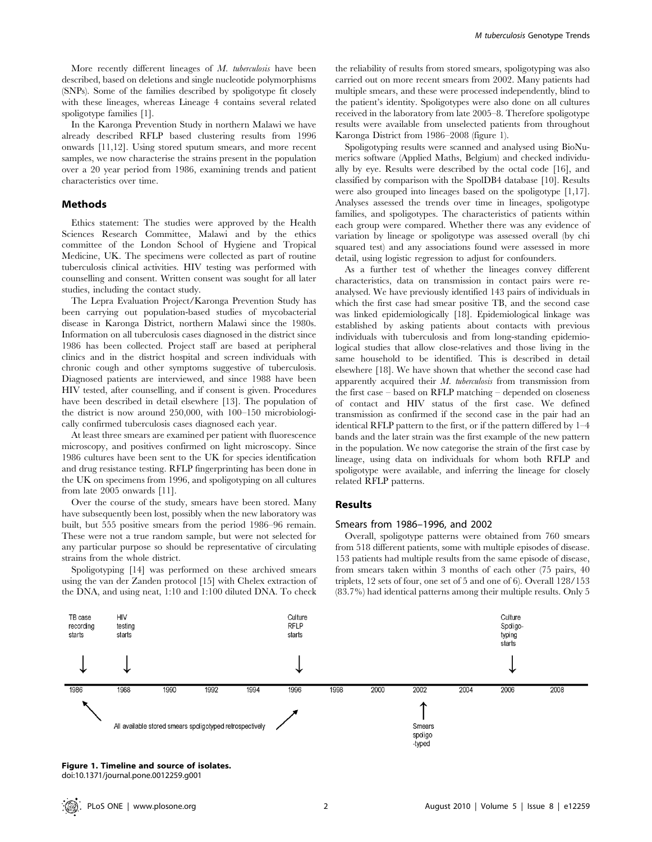More recently different lineages of M. tuberculosis have been described, based on deletions and single nucleotide polymorphisms (SNPs). Some of the families described by spoligotype fit closely with these lineages, whereas Lineage 4 contains several related spoligotype families [1].

In the Karonga Prevention Study in northern Malawi we have already described RFLP based clustering results from 1996 onwards [11,12]. Using stored sputum smears, and more recent samples, we now characterise the strains present in the population over a 20 year period from 1986, examining trends and patient characteristics over time.

#### Methods

Ethics statement: The studies were approved by the Health Sciences Research Committee, Malawi and by the ethics committee of the London School of Hygiene and Tropical Medicine, UK. The specimens were collected as part of routine tuberculosis clinical activities. HIV testing was performed with counselling and consent. Written consent was sought for all later studies, including the contact study.

The Lepra Evaluation Project/Karonga Prevention Study has been carrying out population-based studies of mycobacterial disease in Karonga District, northern Malawi since the 1980s. Information on all tuberculosis cases diagnosed in the district since 1986 has been collected. Project staff are based at peripheral clinics and in the district hospital and screen individuals with chronic cough and other symptoms suggestive of tuberculosis. Diagnosed patients are interviewed, and since 1988 have been HIV tested, after counselling, and if consent is given. Procedures have been described in detail elsewhere [13]. The population of the district is now around 250,000, with 100–150 microbiologically confirmed tuberculosis cases diagnosed each year.

At least three smears are examined per patient with fluorescence microscopy, and positives confirmed on light microscopy. Since 1986 cultures have been sent to the UK for species identification and drug resistance testing. RFLP fingerprinting has been done in the UK on specimens from 1996, and spoligotyping on all cultures from late 2005 onwards [11].

Over the course of the study, smears have been stored. Many have subsequently been lost, possibly when the new laboratory was built, but 555 positive smears from the period 1986–96 remain. These were not a true random sample, but were not selected for any particular purpose so should be representative of circulating strains from the whole district.

Spoligotyping [14] was performed on these archived smears using the van der Zanden protocol [15] with Chelex extraction of the DNA, and using neat, 1:10 and 1:100 diluted DNA. To check

the reliability of results from stored smears, spoligotyping was also carried out on more recent smears from 2002. Many patients had multiple smears, and these were processed independently, blind to the patient's identity. Spoligotypes were also done on all cultures received in the laboratory from late 2005–8. Therefore spoligotype results were available from unselected patients from throughout Karonga District from 1986–2008 (figure 1).

Spoligotyping results were scanned and analysed using BioNumerics software (Applied Maths, Belgium) and checked individually by eye. Results were described by the octal code [16], and classified by comparison with the SpolDB4 database [10]. Results were also grouped into lineages based on the spoligotype [1,17]. Analyses assessed the trends over time in lineages, spoligotype families, and spoligotypes. The characteristics of patients within each group were compared. Whether there was any evidence of variation by lineage or spoligotype was assessed overall (by chi squared test) and any associations found were assessed in more detail, using logistic regression to adjust for confounders.

As a further test of whether the lineages convey different characteristics, data on transmission in contact pairs were reanalysed. We have previously identified 143 pairs of individuals in which the first case had smear positive TB, and the second case was linked epidemiologically [18]. Epidemiological linkage was established by asking patients about contacts with previous individuals with tuberculosis and from long-standing epidemiological studies that allow close-relatives and those living in the same household to be identified. This is described in detail elsewhere [18]. We have shown that whether the second case had apparently acquired their M. tuberculosis from transmission from the first case – based on RFLP matching – depended on closeness of contact and HIV status of the first case. We defined transmission as confirmed if the second case in the pair had an identical RFLP pattern to the first, or if the pattern differed by 1–4 bands and the later strain was the first example of the new pattern in the population. We now categorise the strain of the first case by lineage, using data on individuals for whom both RFLP and spoligotype were available, and inferring the lineage for closely related RFLP patterns.

## Results

#### Smears from 1986–1996, and 2002

Overall, spoligotype patterns were obtained from 760 smears from 518 different patients, some with multiple episodes of disease. 153 patients had multiple results from the same episode of disease, from smears taken within 3 months of each other (75 pairs, 40 triplets, 12 sets of four, one set of 5 and one of 6). Overall 128/153 (83.7%) had identical patterns among their multiple results. Only 5



Figure 1. Timeline and source of isolates. doi:10.1371/journal.pone.0012259.g001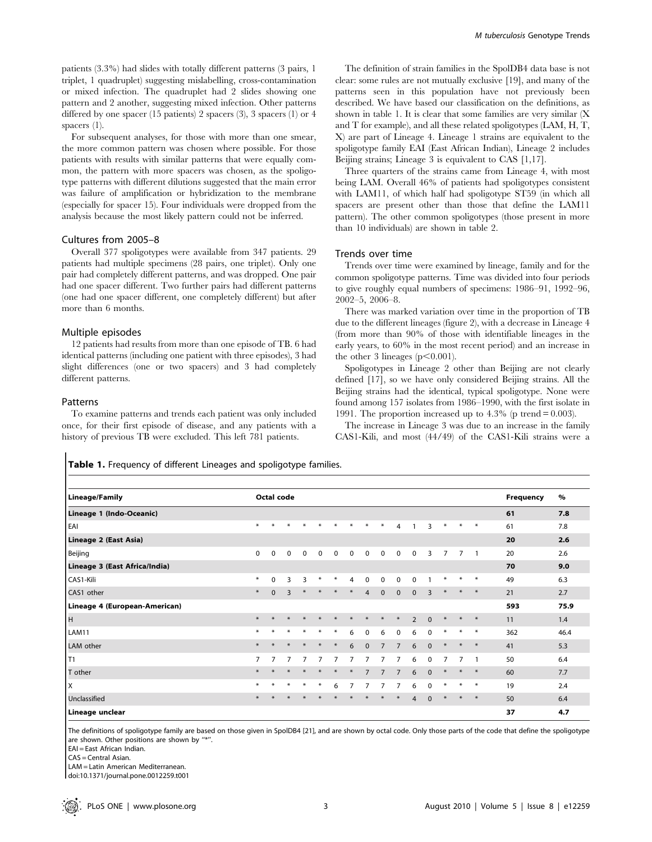patients (3.3%) had slides with totally different patterns (3 pairs, 1 triplet, 1 quadruplet) suggesting mislabelling, cross-contamination or mixed infection. The quadruplet had 2 slides showing one pattern and 2 another, suggesting mixed infection. Other patterns differed by one spacer (15 patients) 2 spacers (3), 3 spacers (1) or 4 spacers (1).

For subsequent analyses, for those with more than one smear, the more common pattern was chosen where possible. For those patients with results with similar patterns that were equally common, the pattern with more spacers was chosen, as the spoligotype patterns with different dilutions suggested that the main error was failure of amplification or hybridization to the membrane (especially for spacer 15). Four individuals were dropped from the analysis because the most likely pattern could not be inferred.

## Cultures from 2005–8

Overall 377 spoligotypes were available from 347 patients. 29 patients had multiple specimens (28 pairs, one triplet). Only one pair had completely different patterns, and was dropped. One pair had one spacer different. Two further pairs had different patterns (one had one spacer different, one completely different) but after more than 6 months.

#### Multiple episodes

12 patients had results from more than one episode of TB. 6 had identical patterns (including one patient with three episodes), 3 had slight differences (one or two spacers) and 3 had completely different patterns.

#### Patterns

To examine patterns and trends each patient was only included once, for their first episode of disease, and any patients with a history of previous TB were excluded. This left 781 patients.

The definition of strain families in the SpolDB4 data base is not clear: some rules are not mutually exclusive [19], and many of the patterns seen in this population have not previously been described. We have based our classification on the definitions, as shown in table 1. It is clear that some families are very similar (X and T for example), and all these related spoligotypes (LAM, H, T, X) are part of Lineage 4. Lineage 1 strains are equivalent to the spoligotype family EAI (East African Indian), Lineage 2 includes Beijing strains; Lineage 3 is equivalent to CAS [1,17].

Three quarters of the strains came from Lineage 4, with most being LAM. Overall 46% of patients had spoligotypes consistent with LAM11, of which half had spoligotype ST59 (in which all spacers are present other than those that define the LAM11 pattern). The other common spoligotypes (those present in more than 10 individuals) are shown in table 2.

## Trends over time

Trends over time were examined by lineage, family and for the common spoligotype patterns. Time was divided into four periods to give roughly equal numbers of specimens: 1986–91, 1992–96, 2002–5, 2006–8.

There was marked variation over time in the proportion of TB due to the different lineages (figure 2), with a decrease in Lineage 4 (from more than 90% of those with identifiable lineages in the early years, to 60% in the most recent period) and an increase in the other 3 lineages  $(p<0.001)$ .

Spoligotypes in Lineage 2 other than Beijing are not clearly defined [17], so we have only considered Beijing strains. All the Beijing strains had the identical, typical spoligotype. None were found among 157 isolates from 1986–1990, with the first isolate in 1991. The proportion increased up to  $4.3\%$  (p trend = 0.003).

The increase in Lineage 3 was due to an increase in the family CAS1-Kili, and most (44/49) of the CAS1-Kili strains were a

Table 1. Frequency of different Lineages and spoligotype families.

| <b>Lineage/Family</b>         |          |          | Octal code  |             |                |             |                |                |                |                |                |          |                |                |                | <b>Frequency</b> | $\%$ |
|-------------------------------|----------|----------|-------------|-------------|----------------|-------------|----------------|----------------|----------------|----------------|----------------|----------|----------------|----------------|----------------|------------------|------|
| Lineage 1 (Indo-Oceanic)      |          |          |             |             |                |             |                |                |                |                |                |          |                |                |                | 61               | 7.8  |
| EAI                           | $\ast$   | $\ast$   |             |             |                |             |                | $\ast$         | ∗              | $\overline{4}$ |                | 3        | ⋇              | $\ast$         | $*$            | 61               | 7.8  |
| Lineage 2 (East Asia)         |          |          |             |             |                |             |                |                |                |                |                |          |                |                |                | 20               | 2.6  |
| Beijing                       | $\Omega$ | 0        | $\mathbf 0$ | $\mathbf 0$ | $\mathbf 0$    | $\mathbf 0$ | $\mathbf 0$    | $\mathbf 0$    | $\mathbf 0$    | $\mathbf 0$    | $\mathbf 0$    | 3        | $\overline{7}$ | $\overline{7}$ | $\overline{1}$ | 20               | 2.6  |
| Lineage 3 (East Africa/India) |          |          |             |             |                |             |                |                |                |                |                |          |                |                |                | 70               | 9.0  |
| CAS1-Kili                     | $\ast$   | $\Omega$ | 3           | 3           | $\ast$         | ∗           | $\overline{4}$ | 0              | 0              | 0              | $\Omega$       |          | $\ast$         | $\ast$         | $*$            | 49               | 6.3  |
| CAS1 other                    | $\ast$   | $\Omega$ | 3           | $\ast$      | $\ast$         | $\ast$      | $\ast$         | $\overline{4}$ | $\Omega$       | $\Omega$       | $\Omega$       | 3        | $\ast$         | $*$            | $*$            | 21               | 2.7  |
| Lineage 4 (European-American) |          |          |             |             |                |             |                |                |                |                |                |          |                |                |                | 593              | 75.9 |
| н                             | $\ast$   | $\ast$   | $\ast$      | $\ast$      | $\ast$         | $\ast$      | $\ast$         | $\ast$         | $\ast$         | $\ast$         | $\overline{2}$ | $\Omega$ | $\ast$         | $\ast$         | $*$            | 11               | 1.4  |
| <b>LAM11</b>                  | $\ast$   | $\ast$   | $\ast$      | $\ast$      | $\ast$         | $\ast$      | 6              | 0              | 6              | 0              | 6              | $\Omega$ | ⋇              | ∗              | $*$            | 362              | 46.4 |
| LAM other                     | $*$      | $*$      | $\ast$      | $\ast$      | $\ast$         | $*$         | 6              | $\mathbf{0}$   | $\overline{7}$ | $\overline{7}$ | 6              | $\Omega$ | $\ast$         | $\ast$         | $*$            | 41               | 5.3  |
| T1                            | 7        |          |             |             | $\overline{7}$ | 7           | 7              | 7              | 7              | 7              | 6              | $\Omega$ | 7              | $\overline{7}$ | $\overline{1}$ | 50               | 6.4  |
| T other                       | $\ast$   | $*$      | $*$         | $*$         | $\ast$         | $\ast$      | $*$            | $\overline{7}$ | $\overline{7}$ | $\overline{7}$ | 6              | $\Omega$ | $\ast$         | $\ast$         | $*$            | 60               | 7.7  |
| X                             | $\ast$   | $\ast$   | $\ast$      | $\ast$      | $\ast$         | 6           | 7              | 7              | 7              | 7              | 6              | $\Omega$ | ∗              | $\ast$         | $*$            | 19               | 2.4  |
| Unclassified                  | $\ast$   | $\ast$   | $*$         | $\ast$      | $\ast$         | $\ast$      | $\ast$         | $\ast$         | $\ast$         | $\ast$         | $\overline{4}$ | $\Omega$ | $\ast$         | $\ast$         | $*$            | 50               | 6.4  |
| Lineage unclear               |          |          |             |             |                |             |                |                |                |                |                |          |                |                |                | 37               | 4.7  |

The definitions of spoligotype family are based on those given in SpolDB4 [21], and are shown by octal code. Only those parts of the code that define the spoligotype are shown. Other positions are shown by "\*".

EAI = East African Indian.

CAS = Central Asian.

LAM = Latin American Mediterranean.

doi:10.1371/journal.pone.0012259.t001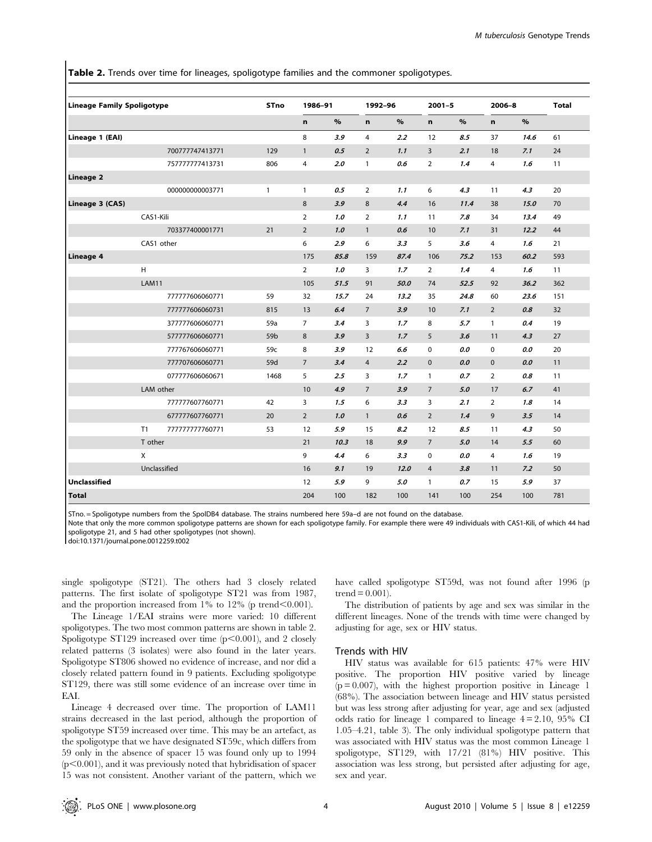Table 2. Trends over time for lineages, spoligotype families and the commoner spoligotypes.

| <b>Lineage Family Spoligotype</b> |              |                 | <b>STno</b>     | 1986-91        |      | 1992-96        |      | $2001 - 5$              |      | $2006 - 8$     |      | <b>Total</b> |
|-----------------------------------|--------------|-----------------|-----------------|----------------|------|----------------|------|-------------------------|------|----------------|------|--------------|
|                                   |              |                 |                 | n              | $\%$ | $\mathbf n$    | $\%$ | n                       | $\%$ | n              | $\%$ |              |
| Lineage 1 (EAI)                   |              |                 |                 | 8              | 3.9  | $\overline{4}$ | 2.2  | 12                      | 8.5  | 37             | 14.6 | 61           |
|                                   |              | 700777747413771 | 129             | $\mathbf{1}$   | 0.5  | $\overline{2}$ | 1.1  | $\overline{\mathbf{3}}$ | 2.1  | 18             | 7.1  | 24           |
|                                   |              | 757777777413731 | 806             | 4              | 2.0  | $\mathbf{1}$   | 0.6  | $\overline{2}$          | 1.4  | $\overline{4}$ | 1.6  | 11           |
| <b>Lineage 2</b>                  |              |                 |                 |                |      |                |      |                         |      |                |      |              |
|                                   |              | 000000000003771 | 1               | $\mathbf{1}$   | 0.5  | $\overline{2}$ | 1.1  | 6                       | 4.3  | 11             | 4.3  | 20           |
| Lineage 3 (CAS)                   |              |                 | 8               | 3.9            | 8    | 4.4            | 16   | 11.4                    | 38   | 15.0           | 70   |              |
|                                   | CAS1-Kili    |                 |                 | $\overline{2}$ | 1.0  | $\overline{2}$ | 1.1  | 11                      | 7.8  | 34             | 13.4 | 49           |
|                                   |              | 703377400001771 | 21              | $\overline{2}$ | 1.0  | $\mathbf{1}$   | 0.6  | 10                      | 7.1  | 31             | 12.2 | 44           |
|                                   | CAS1 other   |                 |                 | 6              | 2.9  | 6              | 3.3  | 5                       | 3.6  | $\overline{4}$ | 1.6  | 21           |
| Lineage 4                         |              |                 |                 | 175            | 85.8 | 159            | 87.4 | 106                     | 75.2 | 153            | 60.2 | 593          |
|                                   | H            |                 |                 | $\overline{2}$ | 1.0  | 3              | 1.7  | $\overline{2}$          | 1.4  | $\overline{4}$ | 1.6  | 11           |
|                                   | LAM11        |                 |                 | 105            | 51.5 | 91             | 50.0 | 74                      | 52.5 | 92             | 36.2 | 362          |
|                                   |              | 777777606060771 | 59              | 32             | 15.7 | 24             | 13.2 | 35                      | 24.8 | 60             | 23.6 | 151          |
|                                   |              | 777777606060731 | 815             | 13             | 6.4  | $\overline{7}$ | 3.9  | 10                      | 7.1  | $\overline{2}$ | 0.8  | 32           |
|                                   |              | 377777606060771 | 59a             | $\overline{7}$ | 3.4  | 3              | 1.7  | 8                       | 5.7  | $\mathbf{1}$   | 0.4  | 19           |
|                                   |              | 577777606060771 | 59 <sub>b</sub> | 8              | 3.9  | 3              | 1.7  | 5                       | 3.6  | 11             | 4.3  | 27           |
|                                   |              | 777767606060771 | 59c             | 8              | 3.9  | 12             | 6.6  | 0                       | 0.0  | $\mathbf 0$    | 0.0  | 20           |
|                                   |              | 777707606060771 | 59d             | $\overline{7}$ | 3.4  | $\overline{4}$ | 2.2  | $\mathbf 0$             | 0.0  | $\mathbf{0}$   | 0.0  | 11           |
|                                   |              | 077777606060671 | 1468            | 5              | 2.5  | 3              | 1.7  | $\mathbf{1}$            | 0.7  | $\overline{2}$ | 0.8  | 11           |
|                                   | LAM other    |                 |                 | 10             | 4.9  | $\overline{7}$ | 3.9  | $\overline{7}$          | 5.0  | 17             | 6.7  | 41           |
|                                   |              | 777777607760771 | 42              | 3              | 1.5  | 6              | 3.3  | 3                       | 2.1  | $\overline{2}$ | 1.8  | 14           |
|                                   |              | 677777607760771 | 20              | $\overline{2}$ | 1.0  | $\mathbf{1}$   | 0.6  | $\overline{2}$          | 1.4  | 9              | 3.5  | 14           |
|                                   | T1           | 777777777760771 | 53              | 12             | 5.9  | 15             | 8.2  | 12                      | 8.5  | 11             | 4.3  | 50           |
|                                   | T other      |                 |                 | 21             | 10.3 | 18             | 9.9  | $7\overline{ }$         | 5.0  | 14             | 5.5  | 60           |
|                                   | X            |                 |                 | 9              | 4.4  | 6              | 3.3  | 0                       | 0.0  | 4              | 1.6  | 19           |
|                                   | Unclassified |                 |                 | 16             | 9.1  | 19             | 12.0 | $\overline{4}$          | 3.8  | 11             | 7.2  | 50           |
| <b>Unclassified</b>               |              |                 |                 | 12             | 5.9  | 9              | 5.0  | $\mathbf{1}$            | 0.7  | 15             | 5.9  | 37           |
| <b>Total</b>                      |              |                 |                 | 204            | 100  | 182            | 100  | 141                     | 100  | 254            | 100  | 781          |

STno. = Spoligotype numbers from the SpolDB4 database. The strains numbered here 59a–d are not found on the database.

Note that only the more common spoligotype patterns are shown for each spoligotype family. For example there were 49 individuals with CAS1-Kili, of which 44 had spoligotype 21, and 5 had other spoligotypes (not shown).

doi:10.1371/journal.pone.0012259.t002

single spoligotype (ST21). The others had 3 closely related patterns. The first isolate of spoligotype ST21 was from 1987, and the proportion increased from  $1\%$  to  $12\%$  (p trend $\leq 0.001$ ).

The Lineage 1/EAI strains were more varied: 10 different spoligotypes. The two most common patterns are shown in table 2. Spoligotype ST129 increased over time  $(p<0.001)$ , and 2 closely related patterns (3 isolates) were also found in the later years. Spoligotype ST806 showed no evidence of increase, and nor did a closely related pattern found in 9 patients. Excluding spoligotype ST129, there was still some evidence of an increase over time in EAI.

Lineage 4 decreased over time. The proportion of LAM11 strains decreased in the last period, although the proportion of spoligotype ST59 increased over time. This may be an artefact, as the spoligotype that we have designated ST59c, which differs from 59 only in the absence of spacer 15 was found only up to 1994  $(p<0.001)$ , and it was previously noted that hybridisation of spacer 15 was not consistent. Another variant of the pattern, which we

have called spoligotype ST59d, was not found after 1996 (p trend  $= 0.001$ ).

The distribution of patients by age and sex was similar in the different lineages. None of the trends with time were changed by adjusting for age, sex or HIV status.

### Trends with HIV

HIV status was available for 615 patients: 47% were HIV positive. The proportion HIV positive varied by lineage  $(p = 0.007)$ , with the highest proportion positive in Lineage 1 (68%). The association between lineage and HIV status persisted but was less strong after adjusting for year, age and sex (adjusted odds ratio for lineage 1 compared to lineage 4 = 2.10, 95% CI 1.05–4.21, table 3). The only individual spoligotype pattern that was associated with HIV status was the most common Lineage 1 spoligotype, ST129, with 17/21 (81%) HIV positive. This association was less strong, but persisted after adjusting for age, sex and year.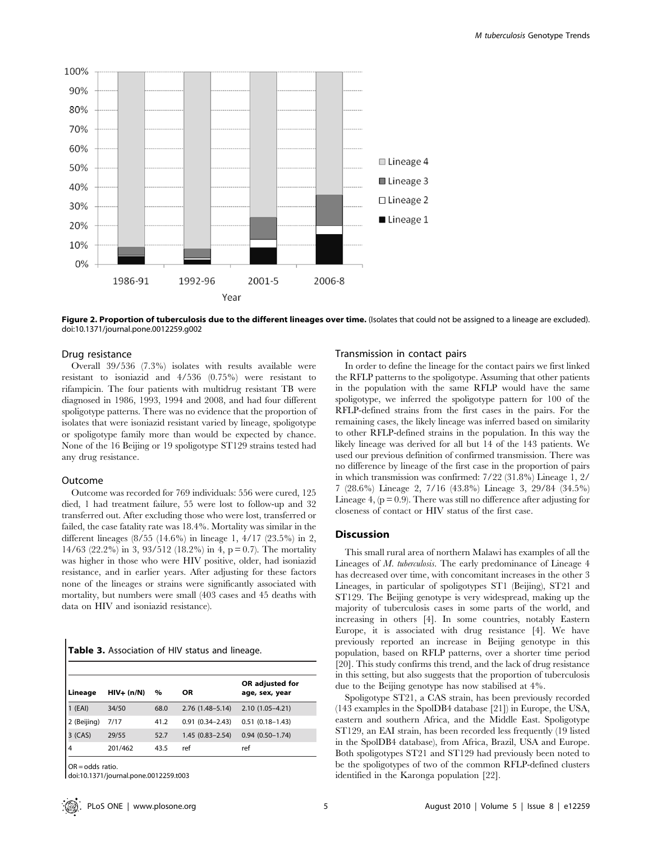

Figure 2. Proportion of tuberculosis due to the different lineages over time. (Isolates that could not be assigned to a lineage are excluded). doi:10.1371/journal.pone.0012259.g002

#### Drug resistance

Overall 39/536 (7.3%) isolates with results available were resistant to isoniazid and 4/536 (0.75%) were resistant to rifampicin. The four patients with multidrug resistant TB were diagnosed in 1986, 1993, 1994 and 2008, and had four different spoligotype patterns. There was no evidence that the proportion of isolates that were isoniazid resistant varied by lineage, spoligotype or spoligotype family more than would be expected by chance. None of the 16 Beijing or 19 spoligotype ST129 strains tested had any drug resistance.

## Outcome

Outcome was recorded for 769 individuals: 556 were cured, 125 died, 1 had treatment failure, 55 were lost to follow-up and 32 transferred out. After excluding those who were lost, transferred or failed, the case fatality rate was 18.4%. Mortality was similar in the different lineages (8/55 (14.6%) in lineage 1, 4/17 (23.5%) in 2, 14/63 (22.2%) in 3, 93/512 (18.2%) in 4,  $p = 0.7$ ). The mortality was higher in those who were HIV positive, older, had isoniazid resistance, and in earlier years. After adjusting for these factors none of the lineages or strains were significantly associated with mortality, but numbers were small (403 cases and 45 deaths with data on HIV and isoniazid resistance).

Table 3. Association of HIV status and lineage.

| Lineage     | $HIV- (n/N)$ | %    | <b>OR</b>           | OR adjusted for<br>age, sex, year |
|-------------|--------------|------|---------------------|-----------------------------------|
| (EAI)       | 34/50        | 68.0 | $2.76(1.48 - 5.14)$ | $2.10(1.05 - 4.21)$               |
| 2 (Beijing) | 7/17         | 41.2 | $0.91(0.34 - 2.43)$ | $0.51(0.18 - 1.43)$               |
| 3 (CAS)     | 29/55        | 52.7 | $1.45(0.83 - 2.54)$ | $0.94(0.50 - 1.74)$               |
|             | 201/462      | 43.5 | ref                 | ref                               |

OR = odds ratio.

doi:10.1371/journal.pone.0012259.t003

## Transmission in contact pairs

In order to define the lineage for the contact pairs we first linked the RFLP patterns to the spoligotype. Assuming that other patients in the population with the same RFLP would have the same spoligotype, we inferred the spoligotype pattern for 100 of the RFLP-defined strains from the first cases in the pairs. For the remaining cases, the likely lineage was inferred based on similarity to other RFLP-defined strains in the population. In this way the likely lineage was derived for all but 14 of the 143 patients. We used our previous definition of confirmed transmission. There was no difference by lineage of the first case in the proportion of pairs in which transmission was confirmed: 7/22 (31.8%) Lineage 1, 2/ 7 (28.6%) Lineage 2, 7/16 (43.8%) Lineage 3, 29/84 (34.5%) Lineage 4,  $(p = 0.9)$ . There was still no difference after adjusting for closeness of contact or HIV status of the first case.

# Discussion

This small rural area of northern Malawi has examples of all the Lineages of M. tuberculosis. The early predominance of Lineage 4 has decreased over time, with concomitant increases in the other 3 Lineages, in particular of spoligotypes ST1 (Beijing), ST21 and ST129. The Beijing genotype is very widespread, making up the majority of tuberculosis cases in some parts of the world, and increasing in others [4]. In some countries, notably Eastern Europe, it is associated with drug resistance [4]. We have previously reported an increase in Beijing genotype in this population, based on RFLP patterns, over a shorter time period [20]. This study confirms this trend, and the lack of drug resistance in this setting, but also suggests that the proportion of tuberculosis due to the Beijing genotype has now stabilised at 4%.

Spoligotype ST21, a CAS strain, has been previously recorded (143 examples in the SpolDB4 database [21]) in Europe, the USA, eastern and southern Africa, and the Middle East. Spoligotype ST129, an EAI strain, has been recorded less frequently (19 listed in the SpolDB4 database), from Africa, Brazil, USA and Europe. Both spoligotypes ST21 and ST129 had previously been noted to be the spoligotypes of two of the common RFLP-defined clusters identified in the Karonga population [22].